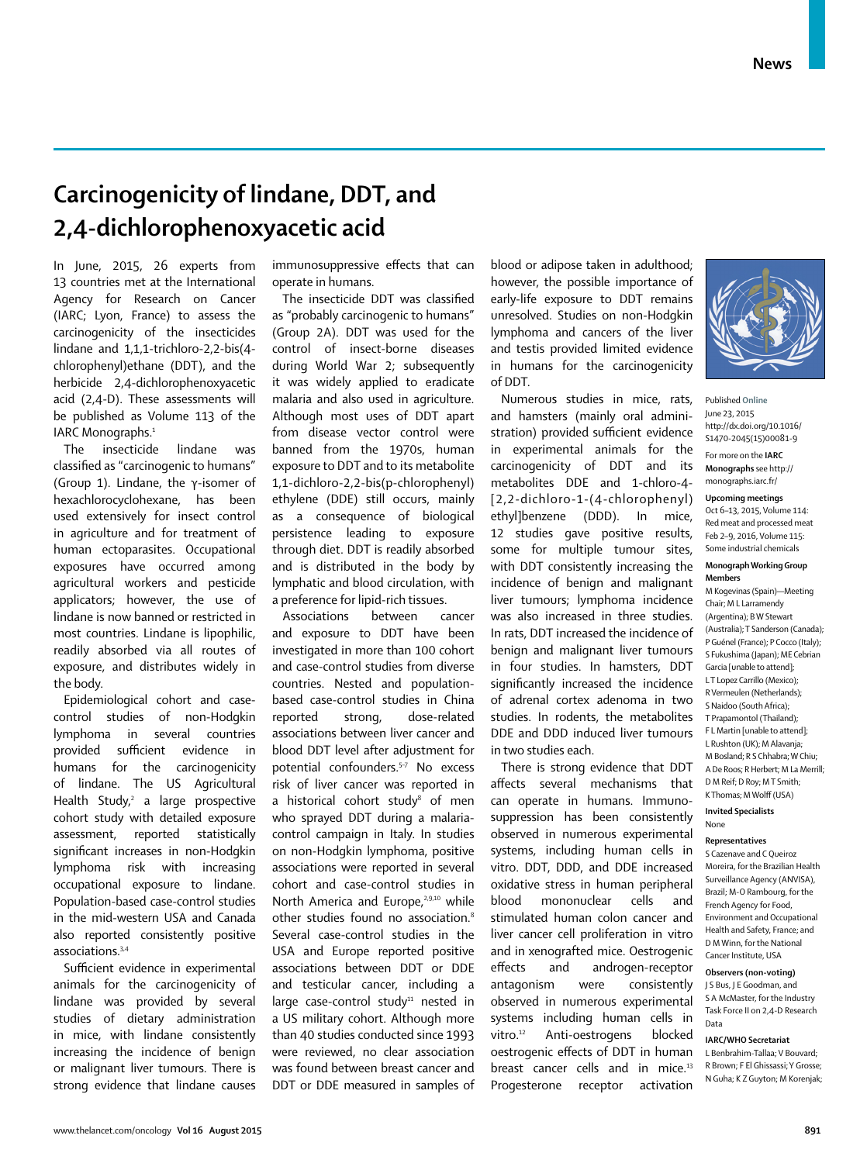# **Carcinogenicity of lindane, DDT, and 2,4-dichlorophenoxyacetic acid**

In June, 2015, 26 experts from 13 countries met at the International Agency for Research on Cancer (IARC; Lyon, France) to assess the carcinogenicity of the insecticides lindane and 1,1,1-trichloro-2,2-bis(4 chlorophenyl)ethane (DDT), and the herbicide 2,4-dichlorophenoxyacetic acid (2,4-D). These assessments will be published as Volume 113 of the IARC Monographs.<sup>1</sup>

The insecticide lindane was classified as "carcinogenic to humans" (Group 1). Lindane, the γ-isomer of hexachlorocyclohexane, has been used extensively for insect control in agriculture and for treatment of human ectoparasites. Occupational exposures have occurred among agricultural workers and pesticide applicators; however, the use of lindane is now banned or restricted in most countries. Lindane is lipophilic, readily absorbed via all routes of exposure, and distributes widely in the body.

Epidemiological cohort and casecontrol studies of non-Hodgkin lymphoma in several countries provided sufficient evidence in humans for the carcinogenicity of lindane. The US Agricultural Health Study,<sup>2</sup> a large prospective cohort study with detailed exposure assessment, reported statistically significant increases in non-Hodgkin lymphoma risk with increasing occupational exposure to lindane. Population-based case-control studies in the mid-western USA and Canada also reported consistently positive associations.3,4

Sufficient evidence in experimental animals for the carcinogenicity of lindane was provided by several studies of dietary administration in mice, with lindane consistently increasing the incidence of benign or malignant liver tumours. There is strong evidence that lindane causes immunosuppressive effects that can operate in humans.

The insecticide DDT was classified as "probably carcinogenic to humans" (Group 2A). DDT was used for the control of insect-borne diseases during World War 2; subsequently it was widely applied to eradicate malaria and also used in agriculture. Although most uses of DDT apart from disease vector control were banned from the 1970s, human exposure to DDT and to its metabolite 1,1-dichloro-2,2-bis(p-chlorophenyl) ethylene (DDE) still occurs, mainly as a consequence of biological persistence leading to exposure through diet. DDT is readily absorbed and is distributed in the body by lymphatic and blood circulation, with a preference for lipid-rich tissues.

Associations between cancer and exposure to DDT have been investigated in more than 100 cohort and case-control studies from diverse countries. Nested and populationbased case-control studies in China reported strong, dose-related associations between liver cancer and blood DDT level after adjustment for potential confounders.5–7 No excess risk of liver cancer was reported in a historical cohort study<sup>8</sup> of men who sprayed DDT during a malariacontrol campaign in Italy. In studies on non-Hodgkin lymphoma, positive associations were reported in several cohort and case-control studies in North America and Europe,<sup>2,9,10</sup> while other studies found no association.<sup>8</sup> Several case-control studies in the USA and Europe reported positive associations between DDT or DDE and testicular cancer, including a large case-control study $11$  nested in a US military cohort. Although more than 40 studies conducted since 1993 were reviewed, no clear association was found between breast cancer and DDT or DDE measured in samples of

blood or adipose taken in adulthood; however, the possible importance of early-life exposure to DDT remains unresolved. Studies on non-Hodgkin lymphoma and cancers of the liver and testis provided limited evidence in humans for the carcinogenicity of DDT.

Numerous studies in mice, rats, and hamsters (mainly oral administration) provided sufficient evidence in experimental animals for the carcinogenicity of DDT and its metabolites DDE and 1-chloro-4- [2,2-dichloro-1-(4-chlorophenyl) ethyl]benzene (DDD). In mice, 12 studies gave positive results, some for multiple tumour sites, with DDT consistently increasing the incidence of benign and malignant liver tumours; lymphoma incidence was also increased in three studies. In rats, DDT increased the incidence of benign and malignant liver tumours in four studies. In hamsters, DDT significantly increased the incidence of adrenal cortex adenoma in two studies. In rodents, the metabolites DDE and DDD induced liver tumours in two studies each.

There is strong evidence that DDT affects several mechanisms that can operate in humans. Immunosuppression has been consistently observed in numerous experimental systems, including human cells in vitro. DDT, DDD, and DDE increased oxidative stress in human peripheral blood mononuclear cells and stimulated human colon cancer and liver cancer cell proliferation in vitro and in xenografted mice. Oestrogenic effects and androgen-receptor antagonism were consistently observed in numerous experimental systems including human cells in vitro.12 Anti-oestrogens blocked oestrogenic effects of DDT in human breast cancer cells and in mice.<sup>13</sup> Progesterone receptor activation



Published **Online** June 23, 2015 http://dx.doi.org/10.1016/ S1470-2045(15)00081-9 For more on the **IARC** 

**Monographs** see http:// monographs.iarc.fr/

**Upcoming meetings** Oct 6–13, 2015, Volume 114: Red meat and processed meat Feb 2–9, 2016, Volume 115: Some industrial chemicals

#### **Monograph Working Group Members**

M Kogevinas (Spain)—Meeting Chair; M L Larramendy (Argentina); B W Stewart (Australia); T Sanderson (Canada); P Guénel (France); P Cocco (Italy); S Fukushima (Japan); ME Cebrian Garcia [unable to attend]; L T Lopez Carrillo (Mexico); R Vermeulen (Netherlands); S Naidoo (South Africa); T Prapamontol (Thailand); F L Martin [unable to attend]; L Rushton (UK); M Alavanja; M Bosland; R S Chhabra; W Chiu; A De Roos; R Herbert; M La Merrill; D M Reif; D Roy; M T Smith; K Thomas; M Wolff (USA)

#### **Invited Specialists** None

## **Representatives**

S Cazenave and C Queiroz Moreira, for the Brazilian Health Surveillance Agency (ANVISA), Brazil; M-O Rambourg, for the French Agency for Food, Environment and Occupational Health and Safety, France; and D M Winn, for the National Cancer Institute, USA

## **Observers (non-voting)**

J S Bus, J E Goodman, and S A McMaster, for the Industry Task Force II on 2,4-D Research Data

## **IARC/WHO Secretariat**

L Benbrahim-Tallaa; V Bouvard; R Brown; F El Ghissassi; Y Grosse; N Guha; K Z Guyton; M Korenjak;